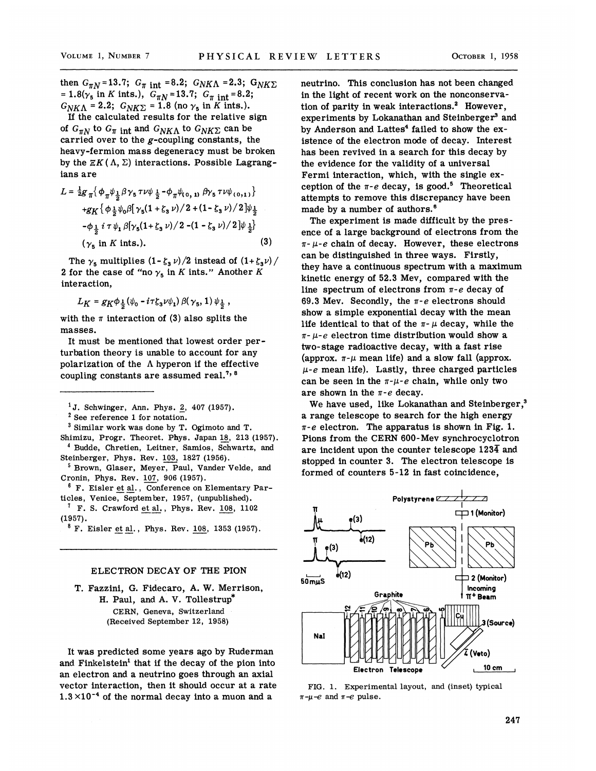then  $G_{\pi N}$ =13.7;  $G_{\pi \text{ int}}$  =8.2;  $G_{N K \Lambda}$  =2.3;  $G_{N K \Sigma}$ = 1.8( $\gamma_5$  in K ints.),  $G_{\pi N}$  = 13.7;  $G_{\pi}$  int = 8.2;  $G_{N K \Lambda} = 2.2$ ;  $G_{N K \Sigma} = 1.8$  (no  $\gamma_5$  in K ints.).

If the calculated results for the relative sign of  $G_{\pi N}$  to  $G_{\pi}$  int and  $G_{N K\Lambda}$  to  $G_{N K\Sigma}$  can be carried over to the  $g$ -coupling constants, the heavy-fermion mass degeneracy must be broken by the  $\mathbb{E}K(\Lambda, \Sigma)$  interactions. Possible Lagrangians are

$$
L = \frac{1}{2}g_{\pi} \{ \phi_{\pi} \psi_{\frac{1}{2}} \beta \gamma_{5} \tau \nu \psi_{\frac{1}{2}} - \phi_{\pi} \psi_{(0, 1)} \beta \gamma_{5} \tau \nu \psi_{(0, 1)} \}
$$
  
+ $g_{K} \{ \phi_{\frac{1}{2}} \psi_{0} \beta [\gamma_{5} (1 + \zeta_{3} \nu) / 2 + (1 - \zeta_{3} \nu) / 2] \psi_{\frac{1}{2}} - \phi_{\frac{1}{2}} i \tau \psi_{1} \beta [\gamma_{5} (1 + \zeta_{3} \nu) / 2 - (1 - \zeta_{3} \nu) / 2] \psi_{\frac{1}{2}} \}$   
( $\gamma_{5}$  in *K* ints.). (3)

The  $\gamma_5$  multiplies  $(1-\zeta_3 \nu)/2$  instead of  $(1+\zeta_3 \nu)/2$ 2 for the case of "no  $\gamma_5$  in K ints." Another K interaction,

 $L_K = g_K \phi_{\frac{1}{2}} (\psi_0 - i \tau \zeta_3 \nu \psi_1) \beta(\gamma_5, 1) \psi_{\frac{1}{2}}$ 

with the  $\pi$  interaction of (3) also splits the masses.

It must be mentioned that lowest order perturbation theory is unable to account for any polarization of the  $\Lambda$  hyperon if the effective coupling constants are assumed real.<sup>7, 8</sup>

 $1J.$  Schwinger, Ann. Phys. 2, 407 (1957).

<sup>2</sup> See reference 1 for notation.

<sup>3</sup> Similar work was done by T. Ogimoto and T.

Shimizu, Progr. Theoret. Phys. Japan 18, 213 (1957). <sup>4</sup> Budde, Chretien, Leitner, Samios, Schwartz, and

Steinberger, Phys. Rev. 103, 1827 (1956). <sup>5</sup> Brown, Glaser, Meyer, Paul, Vander Velde, and

Cronin, Phys. Rev. 107, 906 (1957).

<sup>6</sup> F. Eisler et al., Conference on Elementary Particles, Venice, September, 1957, (unpublished).

 $T$  F. S. Crawford et al., Phys. Rev. 108, 1102 (1957),

 $8 F.$  Eisler et al., Phys. Rev. 108, 1353 (1957).

## ELECTRON DECAY OF THE PION

T. Fazzini, G. Fidecaro, A. W. Merrison, H. Paul, and A. V. Tollestrup CERN, Geneva, Switzerland (Received September 12, 1958)

It was predicted some years ago by Ruderman and Finkelstein' that if the decay of the pion into an electron and a neutrino goes through an axial vector interaction, then it should occur at a rate vector interaction, then it should occur at a rat<br> $1.3 \times 10^{-4}$  of the normal decay into a muon and a

neutrino. This conclusion has not been changed in the light of recent work on the nonconservation of parity in weak interactions.<sup>2</sup> However, experiments by Lokanathan and Steinberger<sup>3</sup> and by Anderson and Lattes' failed to show the existence of the electron mode of decay. Interest has been revived in a search for this decay by the evidence for the validity of a universal Fermi interaction, which, with the single exception of the  $\pi$ -e decay, is good.<sup>5</sup> Theoretical attempts to remove this discrepancy have been made by a number of authors.<sup>6</sup>

The experiment is made difficult by the presence of a large background of electrons from the  $\pi$ - $\mu$ -e chain of decay. However, these electrons can be distinguished in three ways. Firstly, they have a continuous spectrum with a maximum kinetic energy of 52.3 Mev, compared with the line spectrum of electrons from  $\pi$ -e decay of 69.3 Mev. Secondly, the  $\pi$ -e electrons should show a simple exponential decay with the mean life identical to that of the  $\pi$ -  $\mu$  decay, while the  $\pi$ - $\mu$ -e electron time distribution would show a two-stage radioactive decay, with a fast rise (approx.  $\pi$ - $\mu$  mean life) and a slow fall (approx.  $\mu$ -e mean life). Lastly, three charged particles can be seen in the  $\pi$ - $\mu$ -e chain, while only two are shown in the  $\pi$ -e decay.

We have used, like Lokanathan and Steinberger.<sup>3</sup> a range telescope to search for the high energy  $\pi$ -e electron. The apparatus is shown in Fig. 1. Pions from the CERN 600-Mev synchrocyclotron are incident upon the counter telescope  $123\overline{4}$  and stopped in counter 3. The electron telescope is formed of counters 5-12 in fast coincidence,



FIG. 1. Experimental layout, and (inset} typical  $\pi-\mu-e$  and  $\pi-e$  pulse.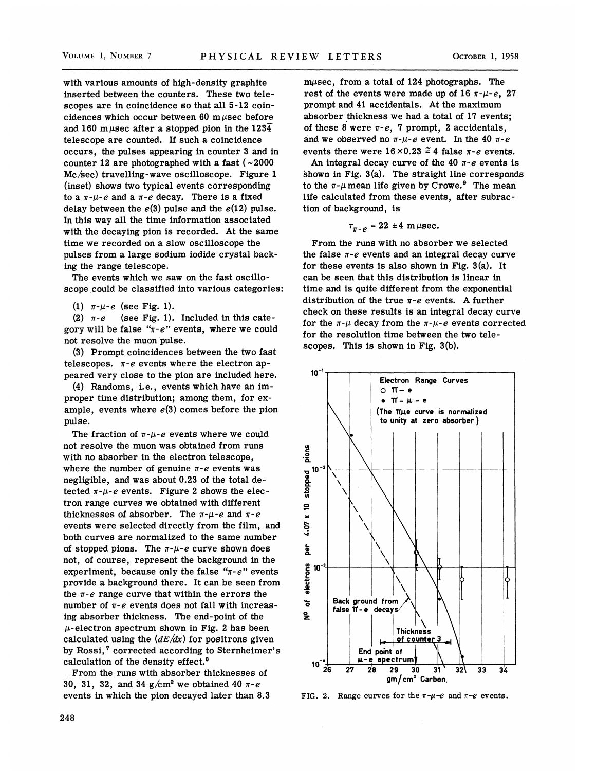with various amounts of high-density graphite inserted between the counters. These two telescopes are in coincidence so that all 5-12 coincidences which occur between 60 m $\mu$ sec before and 160 m  $\mu$ sec after a stopped pion in the 1234 telescope are counted. If such a coincidence occurs, the pulses appearing in counter 3 and in counter 12 are photographed with a fast  $(-2000$ Mc/sec) travelling-wave oscilloscope. Figure 1 (inset) shows two typical events corresponding to a  $\pi$ - $\mu$ -e and a  $\pi$ -e decay. There is a fixed delay between the  $e(3)$  pulse and the  $e(12)$  pulse. In this way all the time information associated with the decaying pion is recorded. At the same time we recorded on a slow oscilloscope the pulses from a large sodium iodide crystal backing the range telescope.

The events which we saw on the fast oscilloscope could be classified into various categories:

(1)  $\pi$ - $\mu$ - $e$  (see Fig. 1).

(2)  $\pi$ -e (see Fig. 1). Included in this category will be false " $\pi$ -e" events, where we could not resolve the muon pulse.

(8) Prompt coincidences between the two fast telescopes.  $\pi$ -e events where the electron appeared very close to the pion are included here.

(4) Handoms, i.e., events which have an improper time distribution; among them, for example, events where  $e(3)$  comes before the pion pulse.

The fraction of  $\pi$ - $\mu$ -e events where we could not resolve the muon was obtained from runs with no absorber in the electron telescope, where the number of genuine  $\pi$ -e events was negligible, and was about 0.23 of the total detected  $\pi$ - $\mu$ -e events. Figure 2 shows the electron range curves we obtained with different thicknesses of absorber. The  $\pi$ - $\mu$ -e and  $\pi$ -e events were selected directly from the film, and both curves are normalized to the same number of stopped pions. The  $\pi$ - $\mu$ -e curve shown does not, of course, represent the background in the experiment, because only the false " $\pi$ -e" events provide a background there. It can be seen from the  $\pi$ -e range curve that within the errors the number of  $\pi$ -e events does not fall with increasing absorber thickness. The end-point of the  $\mu$ -electron spectrum shown in Fig. 2 has been calculated using the  $(dE/dx)$  for positrons given by Rossi,<sup>7</sup> corrected according to Sternheimer's calculation of the density effect.

. From the runs with absorber thicknesses of 30, 31, 32, and 34  $g/cm^2$  we obtained 40  $\pi$ -e events in which the pion decayed later than 8.3

 $m\mu$ sec, from a total of 124 photographs. The rest of the events were made up of 16  $\pi$ - $\mu$ -e, 27 prompt and 41 accideritals. At the maximum absorber thickness we had a total of 17 events; of these 8 were  $\pi$ -e, 7 prompt, 2 accidentals, and we observed no  $\pi$ - $\mu$ -e event. In the 40  $\pi$ -e events there were  $16\times0.23 \approx 4$  false  $\pi$ -e events.

An integral decay curve of the 40  $\pi$ -e events is shown in Fig. 3(a). The straight line corresponds to the  $\pi$ - $\mu$  mean life given by Crowe.<sup>9</sup> The mean life calculated from these events, after subraction of background, is

$$
\tau_{\pi-e} = 22 \pm 4 \text{ m} \mu \text{sec}.
$$

From the runs with no absorber we selected the false  $\pi$ -e events and an integral decay curve for these events is also shown in Fig. 3(a). It can be seen that this distribution is linear in time and is quite different from the exponential distribution of the true  $\pi$ -e events. A further check on these results is an integral decay curve for the  $\pi$ - $\mu$  decay from the  $\pi$ - $\mu$ -e events corrected for the resolution time between the two telescopes. This is shown in Fig. 3(b).



FIG. 2. Range curves for the  $\pi-\mu-e$  and  $\pi-e$  events.